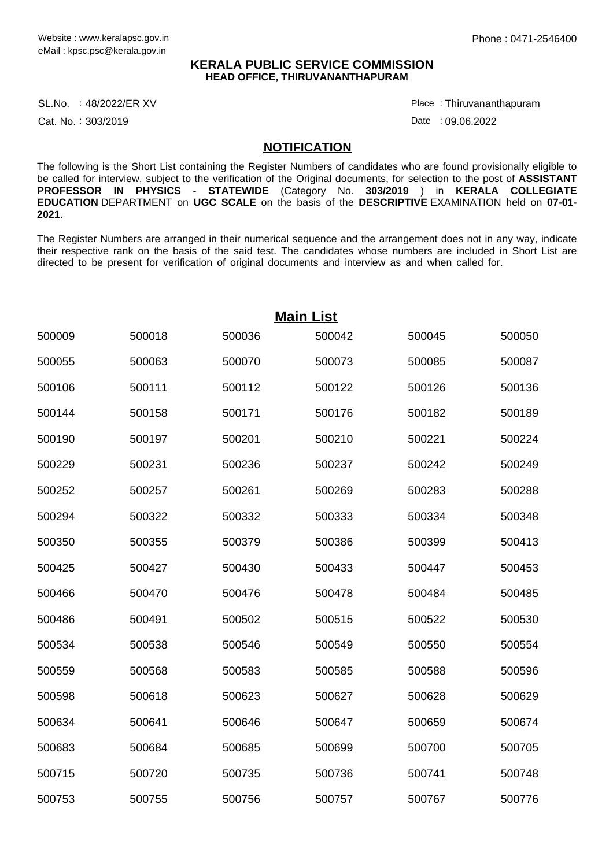#### **KERALA PUBLIC SERVICE COMMISSION HEAD OFFICE, THIRUVANANTHAPURAM**

SL.No. :48/2022/ER XV Place

Cat. No.: 303/2019

Thiruvananthapuram :

Date : 09.06.2022

#### **NOTIFICATION**

The following is the Short List containing the Register Numbers of candidates who are found provisionally eligible to be called for interview, subject to the verification of the Original documents, for selection to the post of **ASSISTANT PROFESSOR IN PHYSICS** - **STATEWIDE** (Category No. **303/2019** ) in **KERALA COLLEGIATE EDUCATION** DEPARTMENT on **UGC SCALE** on the basis of the **DESCRIPTIVE** EXAMINATION held on **07-01- 2021**.

The Register Numbers are arranged in their numerical sequence and the arrangement does not in any way, indicate their respective rank on the basis of the said test. The candidates whose numbers are included in Short List are directed to be present for verification of original documents and interview as and when called for.

| <b>Main List</b> |        |        |        |        |        |  |  |  |
|------------------|--------|--------|--------|--------|--------|--|--|--|
| 500009           | 500018 | 500036 | 500042 | 500045 | 500050 |  |  |  |
| 500055           | 500063 | 500070 | 500073 | 500085 | 500087 |  |  |  |
| 500106           | 500111 | 500112 | 500122 | 500126 | 500136 |  |  |  |
| 500144           | 500158 | 500171 | 500176 | 500182 | 500189 |  |  |  |
| 500190           | 500197 | 500201 | 500210 | 500221 | 500224 |  |  |  |
| 500229           | 500231 | 500236 | 500237 | 500242 | 500249 |  |  |  |
| 500252           | 500257 | 500261 | 500269 | 500283 | 500288 |  |  |  |
| 500294           | 500322 | 500332 | 500333 | 500334 | 500348 |  |  |  |
| 500350           | 500355 | 500379 | 500386 | 500399 | 500413 |  |  |  |
| 500425           | 500427 | 500430 | 500433 | 500447 | 500453 |  |  |  |
| 500466           | 500470 | 500476 | 500478 | 500484 | 500485 |  |  |  |
| 500486           | 500491 | 500502 | 500515 | 500522 | 500530 |  |  |  |
| 500534           | 500538 | 500546 | 500549 | 500550 | 500554 |  |  |  |
| 500559           | 500568 | 500583 | 500585 | 500588 | 500596 |  |  |  |
| 500598           | 500618 | 500623 | 500627 | 500628 | 500629 |  |  |  |
| 500634           | 500641 | 500646 | 500647 | 500659 | 500674 |  |  |  |
| 500683           | 500684 | 500685 | 500699 | 500700 | 500705 |  |  |  |
| 500715           | 500720 | 500735 | 500736 | 500741 | 500748 |  |  |  |
| 500753           | 500755 | 500756 | 500757 | 500767 | 500776 |  |  |  |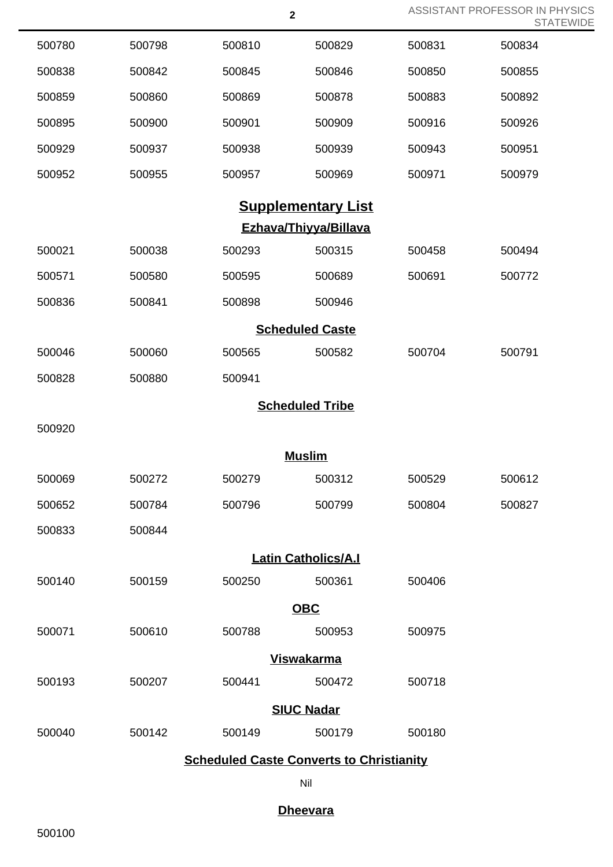|                   |        | $\boldsymbol{2}$ |                            |        | ASSISTANT PROFESSOR IN PHYSICS<br><b>STATEWIDE</b> |  |  |  |
|-------------------|--------|------------------|----------------------------|--------|----------------------------------------------------|--|--|--|
| 500780            | 500798 | 500810           | 500829                     | 500831 | 500834                                             |  |  |  |
| 500838            | 500842 | 500845           | 500846                     | 500850 | 500855                                             |  |  |  |
| 500859            | 500860 | 500869           | 500878                     | 500883 | 500892                                             |  |  |  |
| 500895            | 500900 | 500901           | 500909                     | 500916 | 500926                                             |  |  |  |
| 500929            | 500937 | 500938           | 500939                     | 500943 | 500951                                             |  |  |  |
| 500952            | 500955 | 500957           | 500969                     | 500971 | 500979                                             |  |  |  |
|                   |        |                  | <b>Supplementary List</b>  |        |                                                    |  |  |  |
|                   |        |                  | Ezhava/Thiyya/Billava      |        |                                                    |  |  |  |
| 500021            | 500038 | 500293           | 500315                     | 500458 | 500494                                             |  |  |  |
| 500571            | 500580 | 500595           | 500689                     | 500691 | 500772                                             |  |  |  |
| 500836            | 500841 | 500898           | 500946                     |        |                                                    |  |  |  |
|                   |        |                  | <b>Scheduled Caste</b>     |        |                                                    |  |  |  |
| 500046            | 500060 | 500565           | 500582                     | 500704 | 500791                                             |  |  |  |
| 500828            | 500880 | 500941           |                            |        |                                                    |  |  |  |
|                   |        |                  | <b>Scheduled Tribe</b>     |        |                                                    |  |  |  |
| 500920            |        |                  |                            |        |                                                    |  |  |  |
|                   |        |                  | <b>Muslim</b>              |        |                                                    |  |  |  |
| 500069            | 500272 | 500279           | 500312                     | 500529 | 500612                                             |  |  |  |
| 500652            | 500784 | 500796           | 500799                     | 500804 | 500827                                             |  |  |  |
| 500833            | 500844 |                  |                            |        |                                                    |  |  |  |
|                   |        |                  | <b>Latin Catholics/A.I</b> |        |                                                    |  |  |  |
| 500140            | 500159 | 500250           | 500361                     | 500406 |                                                    |  |  |  |
|                   |        |                  | <b>OBC</b>                 |        |                                                    |  |  |  |
| 500071            | 500610 | 500788           | 500953                     | 500975 |                                                    |  |  |  |
|                   |        |                  | <b>Viswakarma</b>          |        |                                                    |  |  |  |
| 500193            | 500207 | 500441           | 500472                     | 500718 |                                                    |  |  |  |
| <b>SIUC Nadar</b> |        |                  |                            |        |                                                    |  |  |  |
| 500040            | 500142 | 500149           | 500179                     | 500180 |                                                    |  |  |  |

# **Scheduled Caste Converts to Christianity**

Nil

## **Dheevara**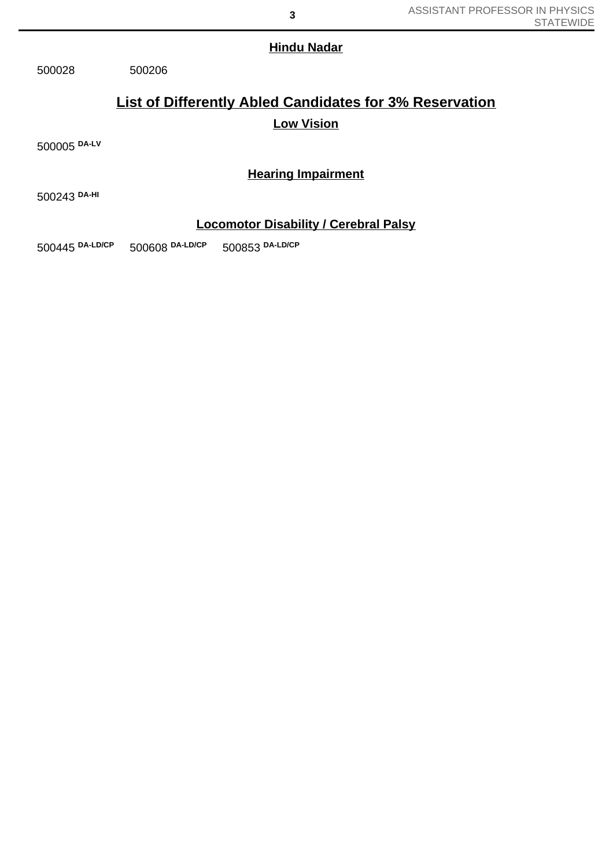### **Hindu Nadar**

500028 500206

# **List of Differently Abled Candidates for 3% Reservation Low Vision**

500005 **DA-LV**

## **Hearing Impairment**

500243 **DA-HI**

### **Locomotor Disability / Cerebral Palsy**

500445 **DA-LD/CP** 500608 **DA-LD/CP** 500853 **DA-LD/CP**